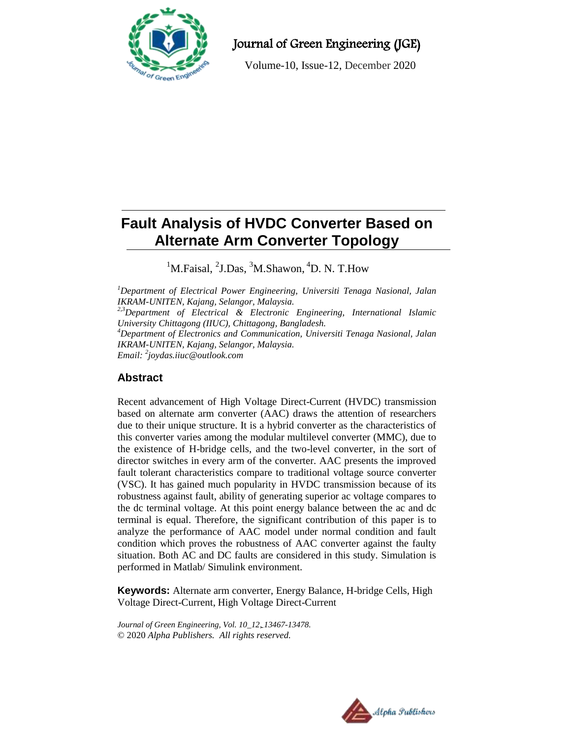

Journal of Green Engineering (JGE)

Volume-10, Issue-12, December 2020

# **Fault Analysis of HVDC Converter Based on Alternate Arm Converter Topology**

<sup>1</sup>M.Faisal, <sup>2</sup>J.Das, <sup>3</sup>M.Shawon, <sup>4</sup>D. N. T.How

*<sup>1</sup>Department of Electrical Power Engineering, Universiti Tenaga Nasional, Jalan IKRAM-UNITEN, Kajang, Selangor, Malaysia. 2,3Department of Electrical & Electronic Engineering, International Islamic University Chittagong (IIUC), Chittagong, Bangladesh. <sup>4</sup>Department of Electronics and Communication, Universiti Tenaga Nasional, Jalan IKRAM-UNITEN, Kajang, Selangor, Malaysia. Email: <sup>2</sup> joydas.iiuc@outlook.com*

# **Abstract**

Recent advancement of High Voltage Direct-Current (HVDC) transmission based on alternate arm converter (AAC) draws the attention of researchers due to their unique structure. It is a hybrid converter as the characteristics of this converter varies among the modular multilevel converter (MMC), due to the existence of H-bridge cells, and the two-level converter, in the sort of director switches in every arm of the converter. AAC presents the improved fault tolerant characteristics compare to traditional voltage source converter (VSC). It has gained much popularity in HVDC transmission because of its robustness against fault, ability of generating superior ac voltage compares to the dc terminal voltage. At this point energy balance between the ac and dc terminal is equal. Therefore, the significant contribution of this paper is to analyze the performance of AAC model under normal condition and fault condition which proves the robustness of AAC converter against the faulty situation. Both AC and DC faults are considered in this study. Simulation is performed in Matlab/ Simulink environment.

**Keywords:** Alternate arm converter, Energy Balance, H-bridge Cells, High Voltage Direct-Current, High Voltage Direct-Current

*Journal of Green Engineering, Vol. 10\_12, 13467-13478.* © 2020 *Alpha Publishers. All rights reserved.*

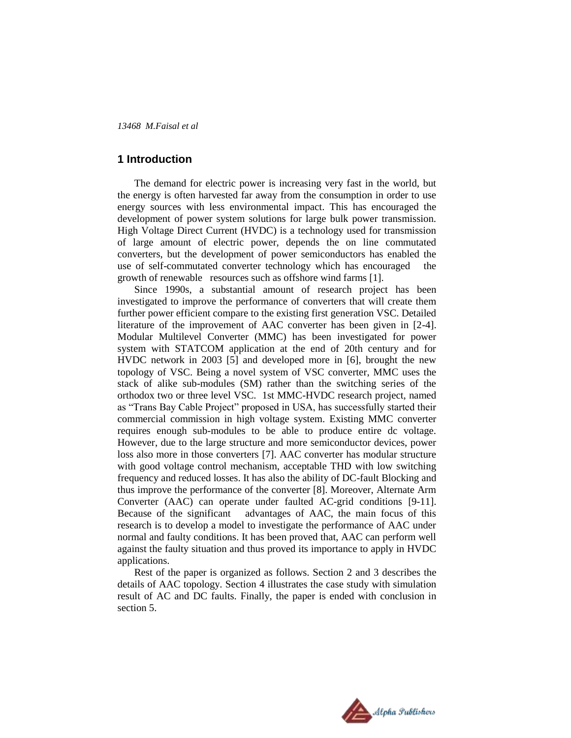## **1 Introduction**

The demand for electric power is increasing very fast in the world, but the energy is often harvested far away from the consumption in order to use energy sources with less environmental impact. This has encouraged the development of power system solutions for large bulk power transmission. High Voltage Direct Current (HVDC) is a technology used for transmission of large amount of electric power, depends the on line commutated converters, but the development of power semiconductors has enabled the use of self-commutated converter technology which has encouraged growth of renewable resources such as offshore wind farms [1].

Since 1990s, a substantial amount of research project has been investigated to improve the performance of converters that will create them further power efficient compare to the existing first generation VSC. Detailed literature of the improvement of AAC converter has been given in [2-4]. Modular Multilevel Converter (MMC) has been investigated for power system with STATCOM application at the end of 20th century and for HVDC network in 2003 [5] and developed more in [6], brought the new topology of VSC. Being a novel system of VSC converter, MMC uses the stack of alike sub-modules (SM) rather than the switching series of the orthodox two or three level VSC. 1st MMC-HVDC research project, named as "Trans Bay Cable Project" proposed in USA, has successfully started their commercial commission in high voltage system. Existing MMC converter requires enough sub-modules to be able to produce entire dc voltage. However, due to the large structure and more semiconductor devices, power loss also more in those converters [7]. AAC converter has modular structure with good voltage control mechanism, acceptable THD with low switching frequency and reduced losses. It has also the ability of DC-fault Blocking and thus improve the performance of the converter [8]. Moreover, Alternate Arm Converter (AAC) can operate under faulted AC-grid conditions [9-11]. Because of the significant advantages of AAC, the main focus of this research is to develop a model to investigate the performance of AAC under normal and faulty conditions. It has been proved that, AAC can perform well against the faulty situation and thus proved its importance to apply in HVDC applications.

Rest of the paper is organized as follows. Section 2 and 3 describes the details of AAC topology. Section 4 illustrates the case study with simulation result of AC and DC faults. Finally, the paper is ended with conclusion in section 5.

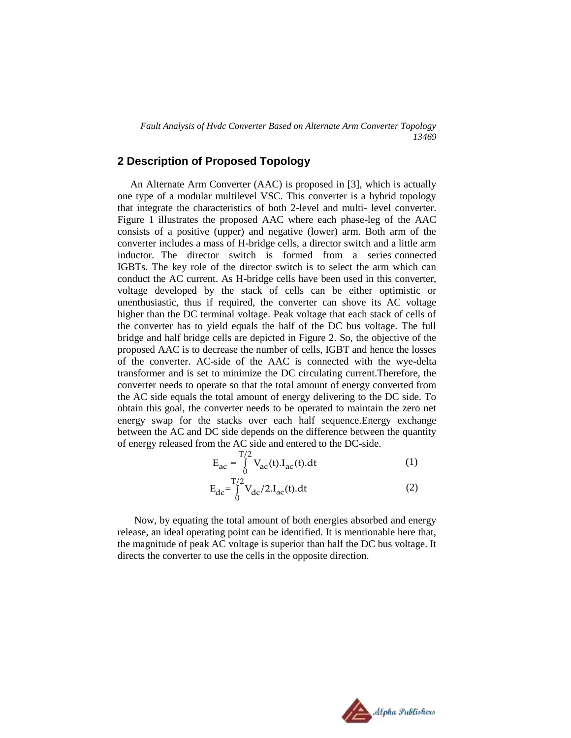*Fault Analysis of Hvdc Converter Based on Alternate Arm Converter Topology 13469*

# **2 Description of Proposed Topology**

 An Alternate Arm Converter (AAC) is proposed in [3], which is actually one type of a modular multilevel VSC. This converter is a hybrid topology that integrate the characteristics of both 2-level and multi- level converter. Figure 1 illustrates the proposed AAC where each phase-leg of the AAC consists of a positive (upper) and negative (lower) arm. Both arm of the converter includes a mass of H-bridge cells, a director switch and a little arm inductor. The director switch is formed from a series connected IGBTs. The key role of the director switch is to select the arm which can conduct the AC current. As H-bridge cells have been used in this converter, voltage developed by the stack of cells can be either optimistic or unenthusiastic, thus if required, the converter can shove its AC voltage higher than the DC terminal voltage. Peak voltage that each stack of cells of the converter has to yield equals the half of the DC bus voltage. The full bridge and half bridge cells are depicted in Figure 2. So, the objective of the proposed AAC is to decrease the number of cells, IGBT and hence the losses of the converter. AC-side of the AAC is connected with the wye-delta transformer and is set to minimize the DC circulating current.Therefore, the converter needs to operate so that the total amount of energy converted from the AC side equals the total amount of energy delivering to the DC side. To obtain this goal, the converter needs to be operated to maintain the zero net energy swap for the stacks over each half sequence.Energy exchange between the AC and DC side depends on the difference between the quantity of energy released from the AC side and entered to the DC-side.

$$
E_{ac} = \int_{0}^{T/2} V_{ac}(t) I_{ac}(t) dt
$$
 (1)

$$
E_{dc} = \int_{0}^{T/2} V_{dc} / 2.I_{ac}(t).dt
$$
 (2)

Now, by equating the total amount of both energies absorbed and energy release, an ideal operating point can be identified. It is mentionable here that, the magnitude of peak AC voltage is superior than half the DC bus voltage. It directs the converter to use the cells in the opposite direction.

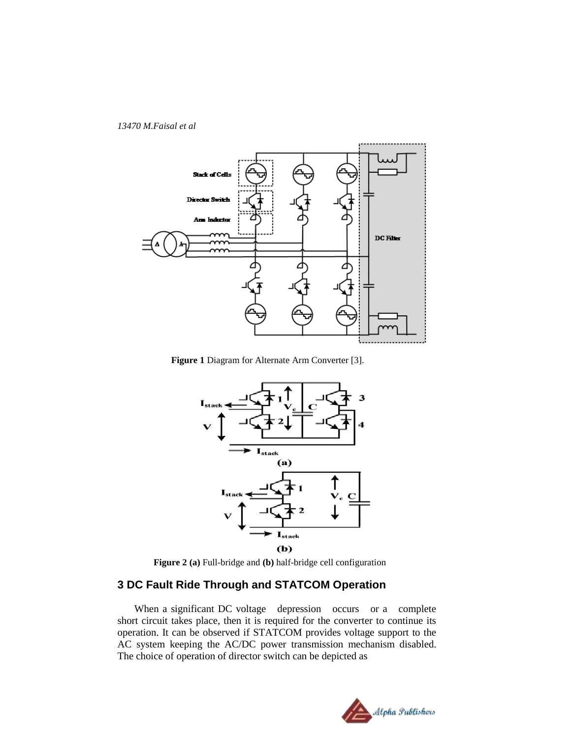



**Figure 1** Diagram for Alternate Arm Converter [3].





# **3 DC Fault Ride Through and STATCOM Operation**

When a significant DC voltage depression occurs or a complete short circuit takes place, then it is required for the converter to continue its operation. It can be observed if STATCOM provides voltage support to the AC system keeping the AC/DC power transmission mechanism disabled. The choice of operation of director switch can be depicted as

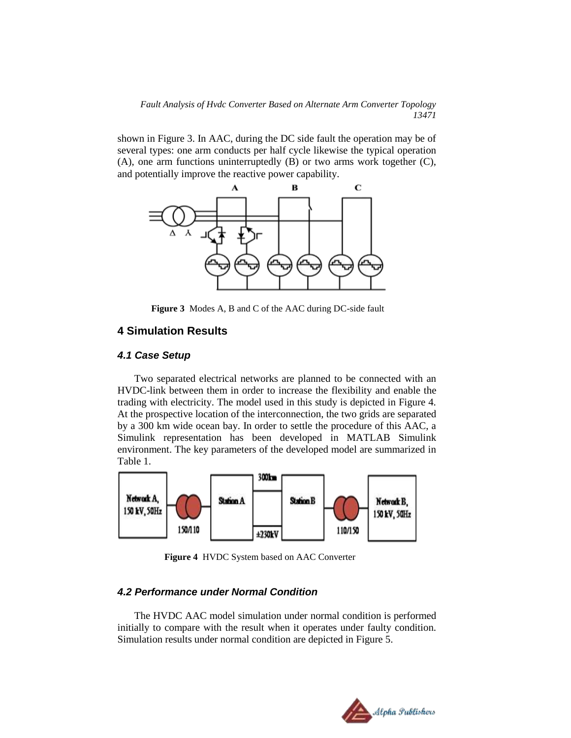*Fault Analysis of Hvdc Converter Based on Alternate Arm Converter Topology 13471*

shown in Figure 3. In AAC, during the DC side fault the operation may be of several types: one arm conducts per half cycle likewise the typical operation (A), one arm functions uninterruptedly (B) or two arms work together (C), and potentially improve the reactive power capability.



**Figure 3** Modes A, B and C of the AAC during DC-side fault

#### **4 Simulation Results**

#### *4.1 Case Setup*

Two separated electrical networks are planned to be connected with an HVDC-link between them in order to increase the flexibility and enable the trading with electricity. The model used in this study is depicted in Figure 4. At the prospective location of the interconnection, the two grids are separated by a 300 km wide ocean bay. In order to settle the procedure of this AAC, a Simulink representation has been developed in MATLAB Simulink environment. The key parameters of the developed model are summarized in Table 1.



**Figure 4** HVDC System based on AAC Converter

#### *4.2 Performance under Normal Condition*

The HVDC AAC model simulation under normal condition is performed initially to compare with the result when it operates under faulty condition. Simulation results under normal condition are depicted in Figure 5.

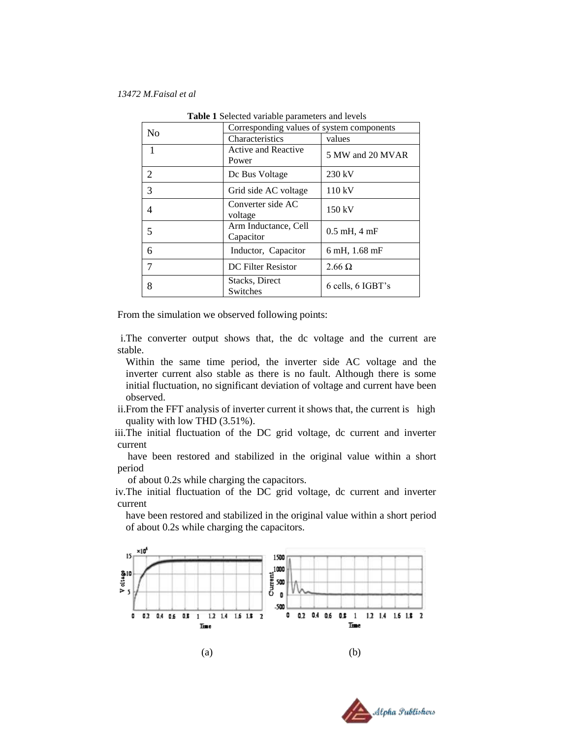| N <sub>o</sub> | Corresponding values of system components |                   |
|----------------|-------------------------------------------|-------------------|
|                | Characteristics                           | values            |
| $\mathbf{1}$   | <b>Active and Reactive</b><br>Power       | 5 MW and 20 MVAR  |
| 2              | De Bus Voltage                            | 230 kV            |
| 3              | Grid side AC voltage                      | 110 kV            |
| 4              | Converter side AC<br>voltage              | 150 kV            |
| 5              | Arm Inductance, Cell<br>Capacitor         | $0.5$ mH, $4$ mF  |
| 6              | Inductor, Capacitor                       | 6 mH, 1.68 mF     |
|                | <b>DC</b> Filter Resistor                 | $2.66 \Omega$     |
| 8              | Stacks, Direct<br>Switches                | 6 cells, 6 IGBT's |

**Table 1** Selected variable parameters and levels

From the simulation we observed following points:

i.The converter output shows that, the dc voltage and the current are stable.

- Within the same time period, the inverter side AC voltage and the inverter current also stable as there is no fault. Although there is some initial fluctuation, no significant deviation of voltage and current have been observed.
- ii.From the FFT analysis of inverter current it shows that, the current is high quality with low THD (3.51%).

iii.The initial fluctuation of the DC grid voltage, dc current and inverter current

 have been restored and stabilized in the original value within a short period

of about 0.2s while charging the capacitors.

iv.The initial fluctuation of the DC grid voltage, dc current and inverter current

have been restored and stabilized in the original value within a short period of about 0.2s while charging the capacitors.



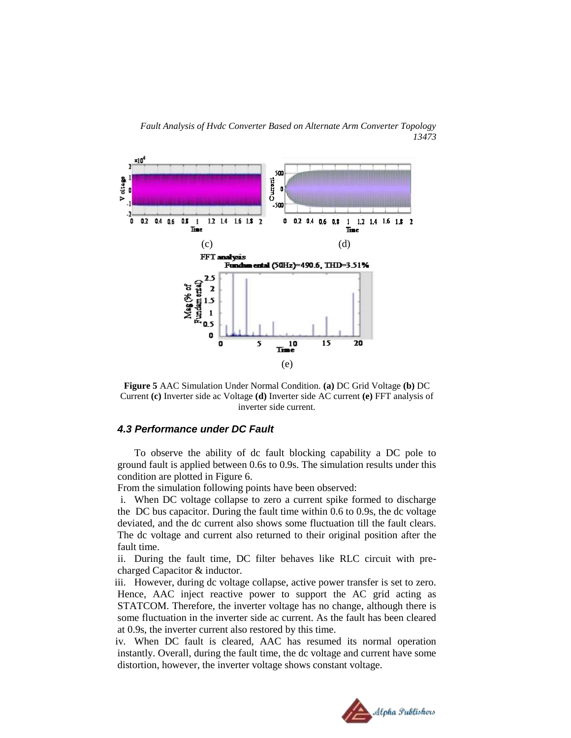*Fault Analysis of Hvdc Converter Based on Alternate Arm Converter Topology 13473*



**Figure 5** AAC Simulation Under Normal Condition. **(a)** DC Grid Voltage **(b)** DC Current **(c)** Inverter side ac Voltage **(d)** Inverter side AC current **(e)** FFT analysis of inverter side current.

#### *4.3 Performance under DC Fault*

To observe the ability of dc fault blocking capability a DC pole to ground fault is applied between 0.6s to 0.9s. The simulation results under this condition are plotted in Figure 6.

From the simulation following points have been observed:

i. When DC voltage collapse to zero a current spike formed to discharge the DC bus capacitor. During the fault time within 0.6 to 0.9s, the dc voltage deviated, and the dc current also shows some fluctuation till the fault clears. The dc voltage and current also returned to their original position after the fault time.

ii. During the fault time, DC filter behaves like RLC circuit with precharged Capacitor & inductor.

iii. However, during dc voltage collapse, active power transfer is set to zero. Hence, AAC inject reactive power to support the AC grid acting as STATCOM. Therefore, the inverter voltage has no change, although there is some fluctuation in the inverter side ac current. As the fault has been cleared at 0.9s, the inverter current also restored by this time.

iv. When DC fault is cleared, AAC has resumed its normal operation instantly. Overall, during the fault time, the dc voltage and current have some distortion, however, the inverter voltage shows constant voltage.

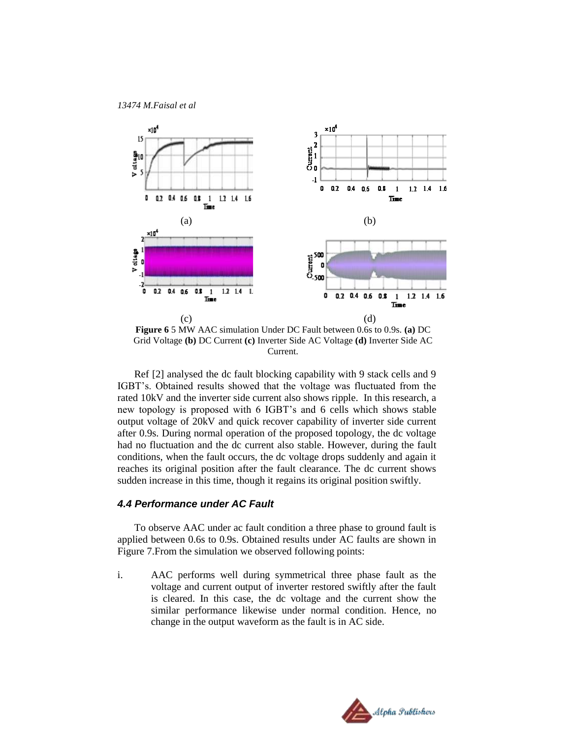

**Figure 6** 5 MW AAC simulation Under DC Fault between 0.6s to 0.9s. **(a)** DC Grid Voltage **(b)** DC Current **(c)** Inverter Side AC Voltage **(d)** Inverter Side AC Current.

Ref [2] analysed the dc fault blocking capability with 9 stack cells and 9 IGBT's. Obtained results showed that the voltage was fluctuated from the rated 10kV and the inverter side current also shows ripple. In this research, a new topology is proposed with 6 IGBT's and 6 cells which shows stable output voltage of 20kV and quick recover capability of inverter side current after 0.9s. During normal operation of the proposed topology, the dc voltage had no fluctuation and the dc current also stable. However, during the fault conditions, when the fault occurs, the dc voltage drops suddenly and again it reaches its original position after the fault clearance. The dc current shows sudden increase in this time, though it regains its original position swiftly.

#### *4.4 Performance under AC Fault*

To observe AAC under ac fault condition a three phase to ground fault is applied between 0.6s to 0.9s. Obtained results under AC faults are shown in Figure 7.From the simulation we observed following points:

i. AAC performs well during symmetrical three phase fault as the voltage and current output of inverter restored swiftly after the fault is cleared. In this case, the dc voltage and the current show the similar performance likewise under normal condition. Hence, no change in the output waveform as the fault is in AC side.

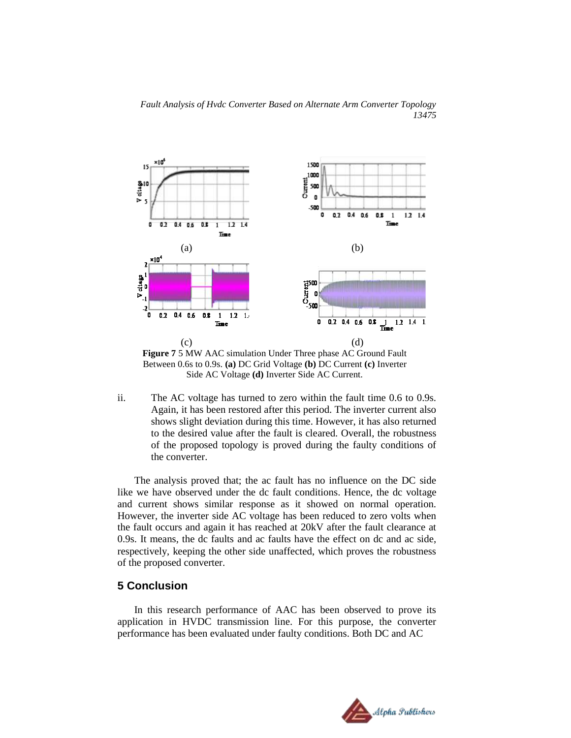



**Figure 7** 5 MW AAC simulation Under Three phase AC Ground Fault Between 0.6s to 0.9s. **(a)** DC Grid Voltage **(b)** DC Current **(c)** Inverter Side AC Voltage **(d)** Inverter Side AC Current.

ii. The AC voltage has turned to zero within the fault time 0.6 to 0.9s. Again, it has been restored after this period. The inverter current also shows slight deviation during this time. However, it has also returned to the desired value after the fault is cleared. Overall, the robustness of the proposed topology is proved during the faulty conditions of the converter.

The analysis proved that; the ac fault has no influence on the DC side like we have observed under the dc fault conditions. Hence, the dc voltage and current shows similar response as it showed on normal operation. However, the inverter side AC voltage has been reduced to zero volts when the fault occurs and again it has reached at 20kV after the fault clearance at 0.9s. It means, the dc faults and ac faults have the effect on dc and ac side, respectively, keeping the other side unaffected, which proves the robustness of the proposed converter.

# **5 Conclusion**

In this research performance of AAC has been observed to prove its application in HVDC transmission line. For this purpose, the converter performance has been evaluated under faulty conditions. Both DC and AC

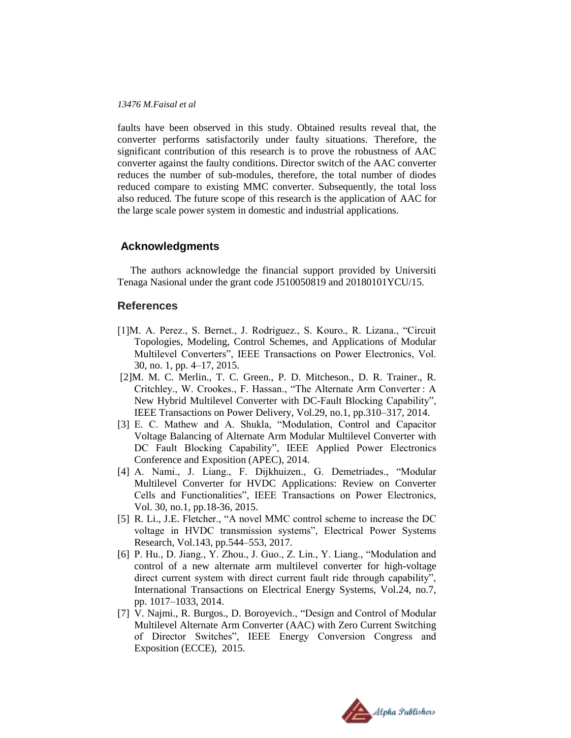faults have been observed in this study. Obtained results reveal that, the converter performs satisfactorily under faulty situations. Therefore, the significant contribution of this research is to prove the robustness of AAC converter against the faulty conditions. Director switch of the AAC converter reduces the number of sub-modules, therefore, the total number of diodes reduced compare to existing MMC converter. Subsequently, the total loss also reduced. The future scope of this research is the application of AAC for the large scale power system in domestic and industrial applications.

#### **Acknowledgments**

 The authors acknowledge the financial support provided by Universiti Tenaga Nasional under the grant code J510050819 and 20180101YCU/15.

#### **References**

- [1]M. A. Perez., S. Bernet., J. Rodriguez., S. Kouro., R. Lizana., "Circuit Topologies, Modeling, Control Schemes, and Applications of Modular Multilevel Converters", IEEE Transactions on Power Electronics, Vol. 30, no. 1, pp. 4–17, 2015.
- [2]M. M. C. Merlin., T. C. Green., P. D. Mitcheson., D. R. Trainer., R. Critchley., W. Crookes., F. Hassan., "The Alternate Arm Converter : A New Hybrid Multilevel Converter with DC-Fault Blocking Capability", IEEE Transactions on Power Delivery, Vol.29, no.1, pp.310–317, 2014.
- [3] E. C. Mathew and A. Shukla, "Modulation, Control and Capacitor Voltage Balancing of Alternate Arm Modular Multilevel Converter with DC Fault Blocking Capability", IEEE Applied Power Electronics Conference and Exposition (APEC), 2014.
- [4] A. Nami., J. Liang., F. Dijkhuizen., G. Demetriades., "Modular Multilevel Converter for HVDC Applications: Review on Converter Cells and Functionalities", IEEE Transactions on Power Electronics, Vol. 30, no.1, pp.18-36, 2015.
- [5] R. Li., J.E. Fletcher., "A novel MMC control scheme to increase the DC voltage in HVDC transmission systems", Electrical Power Systems Research, Vol.143, pp.544–553, 2017.
- [6] P. Hu., D. Jiang., Y. Zhou., J. Guo., Z. Lin., Y. Liang., "Modulation and control of a new alternate arm multilevel converter for high-voltage direct current system with direct current fault ride through capability", International Transactions on Electrical Energy Systems, Vol.24, no.7, pp. 1017–1033, 2014.
- [7] V. Najmi., R. Burgos., D. Boroyevich., "Design and Control of Modular Multilevel Alternate Arm Converter (AAC) with Zero Current Switching of Director Switches", IEEE Energy Conversion Congress and Exposition (ECCE), 2015.

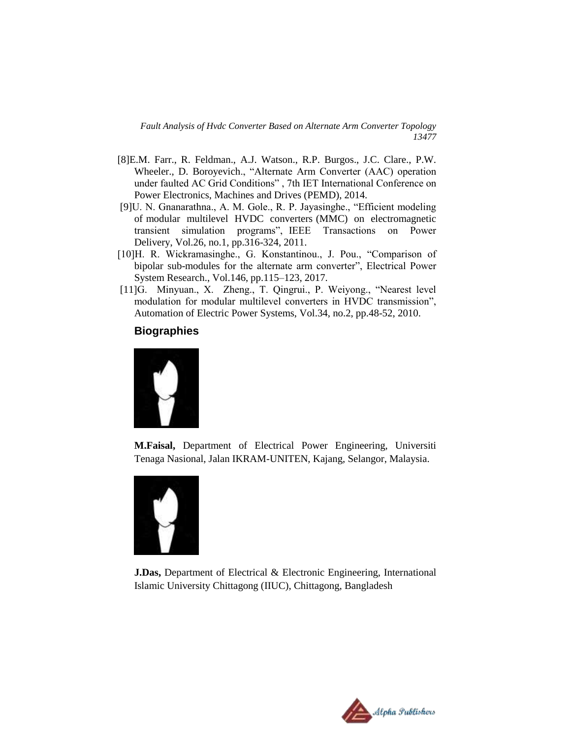*Fault Analysis of Hvdc Converter Based on Alternate Arm Converter Topology 13477*

- [8]E.M. Farr., R. Feldman., A.J. Watson., R.P. Burgos., J.C. Clare., P.W. Wheeler., D. Boroyevich., "Alternate Arm Converter (AAC) operation under faulted AC Grid Conditions" , 7th IET International Conference on Power Electronics, Machines and Drives (PEMD), 2014.
- [9]U. N. Gnanarathna., A. M. Gole., R. P. Jayasinghe., "Efficient modeling of modular multilevel HVDC converters (MMC) on electromagnetic transient simulation programs", IEEE Transactions on Power Delivery, Vol.26, no.1, pp.316-324, 2011.
- [10]H. R. Wickramasinghe., G. Konstantinou., J. Pou., "Comparison of bipolar sub-modules for the alternate arm converter", Electrical Power System Research., Vol.146, pp.115–123, 2017.
- [11]G. Minyuan., X. Zheng., T. Qingrui., P. Weiyong., "Nearest level modulation for modular multilevel converters in HVDC transmission", Automation of Electric Power Systems, Vol.34, no.2, pp.48-52, 2010.

## **Biographies**



**M.Faisal,** Department of Electrical Power Engineering, Universiti Tenaga Nasional, Jalan IKRAM-UNITEN, Kajang, Selangor, Malaysia.



**J.Das,** Department of Electrical & Electronic Engineering, International Islamic University Chittagong (IIUC), Chittagong, Bangladesh